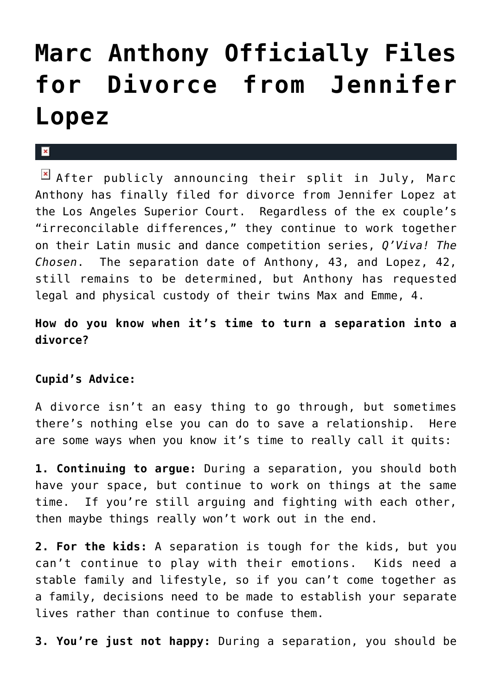## **[Marc Anthony Officially Files](https://cupidspulse.com/30090/marc-anthony-files-divorce-jennifer-lopez/) [for Divorce from Jennifer](https://cupidspulse.com/30090/marc-anthony-files-divorce-jennifer-lopez/) [Lopez](https://cupidspulse.com/30090/marc-anthony-files-divorce-jennifer-lopez/)**

## $\mathbf{R}$

 $\boxed{\times}$  After publicly announcing their split in July, Marc Anthony has finally filed for divorce from Jennifer Lopez at the Los Angeles Superior Court. Regardless of the ex couple's "irreconcilable differences," they continue to work together on their Latin music and dance competition series, *Q'Viva! The Chosen*. The separation date of Anthony, 43, and Lopez, 42, still remains to be determined, but Anthony has requested legal and physical custody of their twins Max and Emme, 4.

## **How do you know when it's time to turn a separation into a divorce?**

## **Cupid's Advice:**

A divorce isn't an easy thing to go through, but sometimes there's nothing else you can do to save a relationship. Here are some ways when you know it's time to really call it quits:

**1. Continuing to argue:** During a separation, you should both have your space, but continue to work on things at the same time. If you're still arguing and fighting with each other, then maybe things really won't work out in the end.

**2. For the kids:** A separation is tough for the kids, but you can't continue to play with their emotions. Kids need a stable family and lifestyle, so if you can't come together as a family, decisions need to be made to establish your separate lives rather than continue to confuse them.

**3. You're just not happy:** During a separation, you should be